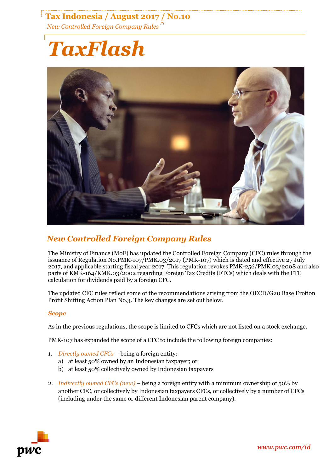### **Tax Indonesia / August 2017 / No.10** *New Controlled Foreign Company Rules P1*

# *TaxFlash*



## *New Controlled Foreign Company Rules*

The Ministry of Finance (MoF) has updated the Controlled Foreign Company (CFC) rules through the issuance of Regulation No.PMK-107/PMK.03/2017 (PMK-107) which is dated and effective 27 July 2017, and applicable starting fiscal year 2017. This regulation revokes PMK-256/PMK.03/2008 and also parts of KMK-164/KMK.03/2002 regarding Foreign Tax Credits (FTCs) which deals with the FTC calculation for dividends paid by a foreign CFC.

The updated CFC rules reflect some of the recommendations arising from the OECD/G20 Base Erotion Profit Shifting Action Plan No.3. The key changes are set out below.

#### *Scope*

As in the previous regulations, the scope is limited to CFCs which are not listed on a stock exchange.

PMK-107 has expanded the scope of a CFC to include the following foreign companies:

- 1. *Directly owned CFCs* being a foreign entity:
	- a) at least 50% owned by an Indonesian taxpayer; or
	- b) at least 50% collectively owned by Indonesian taxpayers
- 2. *Indirectly owned CFCs (new)* being a foreign entity with a minimum ownership of 50% by another CFC, or collectively by Indonesian taxpayers CFCs, or collectively by a number of CFCs (including under the same or different Indonesian parent company).

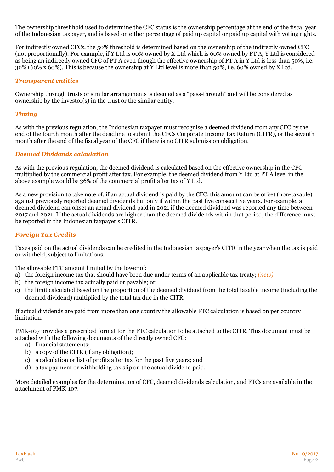The ownership threshhold used to determine the CFC status is the ownership percentage at the end of the fiscal year of the Indonesian taxpayer, and is based on either percentage of paid up capital or paid up capital with voting rights.

For indirectly owned CFCs, the 50% threshold is determined based on the ownership of the indirectly owned CFC (not proportionally). For example, if Y Ltd is 60% owned by X Ltd which is 60% owned by PT A, Y Ltd is considered as being an indirectly owned CFC of PT A even though the effective ownership of PT A in Y Ltd is less than 50%, i.e. 36% (60% x 60%). This is because the ownership at Y Ltd level is more than 50%, i.e. 60% owned by X Ltd.

#### *Transparent entities*

Ownership through trusts or similar arrangements is deemed as a "pass-through" and will be considered as ownership by the investor(s) in the trust or the similar entity.

#### *Timing*

As with the previous regulation, the Indonesian taxpayer must recognise a deemed dividend from any CFC by the end of the fourth month after the deadline to submit the CFCs Corporate Income Tax Return (CITR), or the seventh month after the end of the fiscal year of the CFC if there is no CITR submission obligation.

#### *Deemed Dividends calculation*

As with the previous regulation, the deemed dividend is calculated based on the effective ownership in the CFC multiplied by the commercial profit after tax. For example, the deemed dividend from Y Ltd at PT A level in the above example would be 36% of the commercial profit after tax of Y Ltd.

As a new provision to take note of, if an actual dividend is paid by the CFC, this amount can be offset (non-taxable) against previously reported deemed dividends but only if within the past five consecutive years. For example, a deemed dividend can offset an actual dividend paid in 2021 if the deemed dividend was reported any time between 2017 and 2021. If the actual dividends are higher than the deemed dividends within that period, the difference must be reported in the Indonesian taxpayer's CITR.

#### *Foreign Tax Credits*

Taxes paid on the actual dividends can be credited in the Indonesian taxpayer's CITR in the year when the tax is paid or withheld, subject to limitations.

The allowable FTC amount limited by the lower of:

- a) the foreign income tax that should have been due under terms of an applicable tax treaty; *(new)*
- b) the foreign income tax actually paid or payable; or
- c) the limit calculated based on the proportion of the deemed dividend from the total taxable income (including the deemed dividend) multiplied by the total tax due in the CITR.

If actual dividends are paid from more than one country the allowable FTC calculation is based on per country limitation.

PMK-107 provides a prescribed format for the FTC calculation to be attached to the CITR. This document must be attached with the following documents of the directly owned CFC:

- a) financial statements;
- b) a copy of the CITR (if any obligation);
- c) a calculation or list of profits after tax for the past five years; and
- d) a tax payment or withholding tax slip on the actual dividend paid.

More detailed examples for the determination of CFC, deemed dividends calculation, and FTCs are available in the attachment of PMK-107.